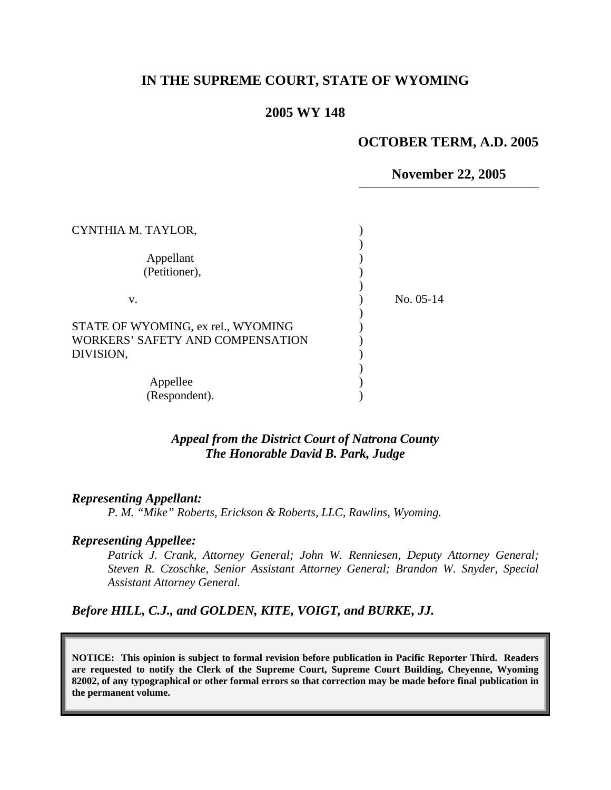## **IN THE SUPREME COURT, STATE OF WYOMING**

### **2005 WY 148**

### **OCTOBER TERM, A.D. 2005**

**November 22, 2005** 

| CYNTHIA M. TAYLOR,                                                                  |             |
|-------------------------------------------------------------------------------------|-------------|
| Appellant<br>(Petitioner),                                                          |             |
|                                                                                     |             |
| v.                                                                                  | No. $05-14$ |
| STATE OF WYOMING, ex rel., WYOMING<br>WORKERS' SAFETY AND COMPENSATION<br>DIVISION, |             |
| Appellee<br>(Respondent).                                                           |             |

### *Appeal from the District Court of Natrona County The Honorable David B. Park, Judge*

#### *Representing Appellant:*

*P. M. "Mike" Roberts, Erickson & Roberts, LLC, Rawlins, Wyoming.* 

#### *Representing Appellee:*

*Patrick J. Crank, Attorney General; John W. Renniesen, Deputy Attorney General; Steven R. Czoschke, Senior Assistant Attorney General; Brandon W. Snyder, Special Assistant Attorney General.* 

### *Before HILL, C.J., and GOLDEN, KITE, VOIGT, and BURKE, JJ.*

**NOTICE: This opinion is subject to formal revision before publication in Pacific Reporter Third. Readers are requested to notify the Clerk of the Supreme Court, Supreme Court Building, Cheyenne, Wyoming 82002, of any typographical or other formal errors so that correction may be made before final publication in the permanent volume.**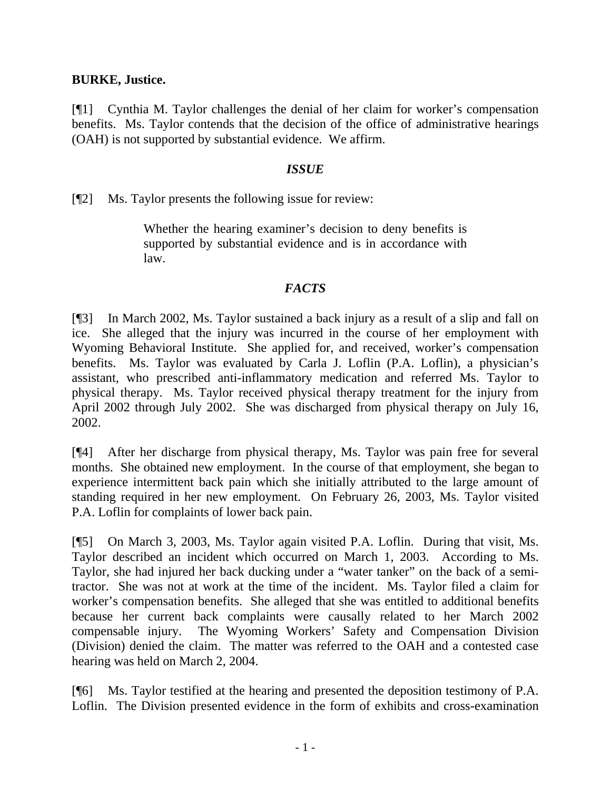## **BURKE, Justice.**

[¶1] Cynthia M. Taylor challenges the denial of her claim for worker's compensation benefits. Ms. Taylor contends that the decision of the office of administrative hearings (OAH) is not supported by substantial evidence. We affirm.

## *ISSUE*

[¶2] Ms. Taylor presents the following issue for review:

Whether the hearing examiner's decision to deny benefits is supported by substantial evidence and is in accordance with law.

# *FACTS*

[¶3] In March 2002, Ms. Taylor sustained a back injury as a result of a slip and fall on ice. She alleged that the injury was incurred in the course of her employment with Wyoming Behavioral Institute. She applied for, and received, worker's compensation benefits. Ms. Taylor was evaluated by Carla J. Loflin (P.A. Loflin), a physician's assistant, who prescribed anti-inflammatory medication and referred Ms. Taylor to physical therapy. Ms. Taylor received physical therapy treatment for the injury from April 2002 through July 2002. She was discharged from physical therapy on July 16, 2002.

[¶4] After her discharge from physical therapy, Ms. Taylor was pain free for several months. She obtained new employment. In the course of that employment, she began to experience intermittent back pain which she initially attributed to the large amount of standing required in her new employment. On February 26, 2003, Ms. Taylor visited P.A. Loflin for complaints of lower back pain.

[¶5] On March 3, 2003, Ms. Taylor again visited P.A. Loflin. During that visit, Ms. Taylor described an incident which occurred on March 1, 2003. According to Ms. Taylor, she had injured her back ducking under a "water tanker" on the back of a semitractor. She was not at work at the time of the incident. Ms. Taylor filed a claim for worker's compensation benefits. She alleged that she was entitled to additional benefits because her current back complaints were causally related to her March 2002 compensable injury. The Wyoming Workers' Safety and Compensation Division (Division) denied the claim. The matter was referred to the OAH and a contested case hearing was held on March 2, 2004.

[¶6] Ms. Taylor testified at the hearing and presented the deposition testimony of P.A. Loflin. The Division presented evidence in the form of exhibits and cross-examination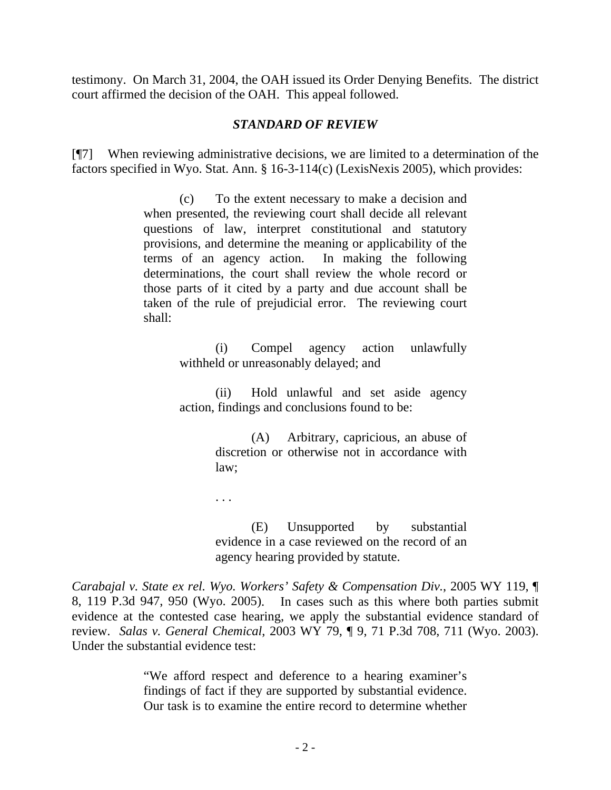testimony. On March 31, 2004, the OAH issued its Order Denying Benefits. The district court affirmed the decision of the OAH. This appeal followed.

## *STANDARD OF REVIEW*

[¶7] When reviewing administrative decisions, we are limited to a determination of the factors specified in Wyo. Stat. Ann. § 16-3-114(c) (LexisNexis 2005), which provides:

> (c) To the extent necessary to make a decision and when presented, the reviewing court shall decide all relevant questions of law, interpret constitutional and statutory provisions, and determine the meaning or applicability of the terms of an agency action. In making the following determinations, the court shall review the whole record or those parts of it cited by a party and due account shall be taken of the rule of prejudicial error. The reviewing court shall:

> > (i) Compel agency action unlawfully withheld or unreasonably delayed; and

> > (ii) Hold unlawful and set aside agency action, findings and conclusions found to be:

> > > (A) Arbitrary, capricious, an abuse of discretion or otherwise not in accordance with law;

. . .

(E) Unsupported by substantial evidence in a case reviewed on the record of an agency hearing provided by statute.

*[Carabajal v. State ex rel. Wyo. Workers' Safety & Compensation Div.](http://www.lexis.com/research/xlink?app=00075&view=full&searchtype=get&search=2005+WY+119%2C+P3)*, 2005 WY 119, ¶ [8, 119 P.3d 947, 950 \(Wyo. 2005\).](http://www.lexis.com/research/xlink?app=00075&view=full&searchtype=get&search=2005+WY+119%2C+P3) In cases such as this where both parties submit evidence at the contested case hearing, we apply the substantial evidence standard of review. *Salas v. General Chemical*, 2003 WY 79, ¶ 9, 71 P.3d 708, 711 (Wyo. 2003). Under the substantial evidence test:

> "We afford respect and deference to a hearing examiner's findings of fact if they are supported by substantial evidence. Our task is to examine the entire record to determine whether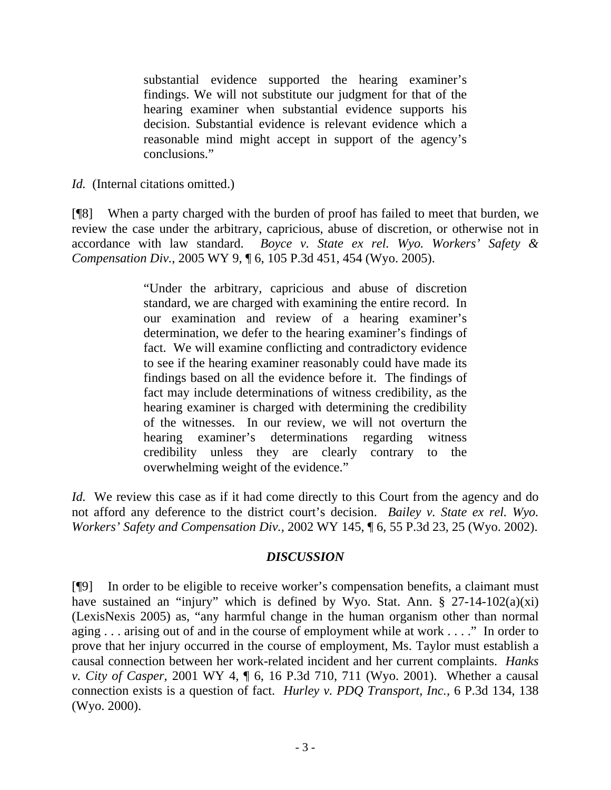substantial evidence supported the hearing examiner's findings. We will not substitute our judgment for that of the hearing examiner when substantial evidence supports his decision. Substantial evidence is relevant evidence which a reasonable mind might accept in support of the agency's conclusions."

*Id.* (Internal citations omitted.)

[¶8] When a party charged with the burden of proof has failed to meet that burden, we review the case under the arbitrary, capricious, abuse of discretion, or otherwise not in accordance with law standard. *Boyce v. State ex rel. Wyo. Workers' Safety & Compensation Div.*, 2005 WY 9, ¶ 6, 105 P.3d 451, 454 (Wyo. 2005).

> "Under the arbitrary, capricious and abuse of discretion standard, we are charged with examining the entire record. In our examination and review of a hearing examiner's determination, we defer to the hearing examiner's findings of fact. We will examine conflicting and contradictory evidence to see if the hearing examiner reasonably could have made its findings based on all the evidence before it. The findings of fact may include determinations of witness credibility, as the hearing examiner is charged with determining the credibility of the witnesses. In our review, we will not overturn the hearing examiner's determinations regarding witness credibility unless they are clearly contrary to the overwhelming weight of the evidence."

*Id.* We review this case as if it had come directly to this Court from the agency and do not afford any deference to the district court's decision. *Bailey v. State ex rel. Wyo. Workers' Safety and Compensation Div.,* 2002 WY 145, ¶ 6, 55 P.3d 23, 25 (Wyo. 2002).

# *DISCUSSION*

[¶9] In order to be eligible to receive worker's compensation benefits, a claimant must have sustained an "injury" which is defined by Wyo. Stat. Ann.  $\S$  27-14-102(a)(xi) (LexisNexis 2005) as, "any harmful change in the human organism other than normal aging . . . arising out of and in the course of employment while at work . . . ." In order to prove that her injury occurred in the course of employment, Ms. Taylor must establish a causal connection between her work-related incident and her current complaints. *Hanks v. City of Casper,* 2001 WY 4, ¶ 6, 16 P.3d 710, 711 (Wyo. 2001). Whether a causal connection exists is a question of fact. *Hurley v. PDQ Transport, Inc.,* 6 P.3d 134, 138 (Wyo. 2000).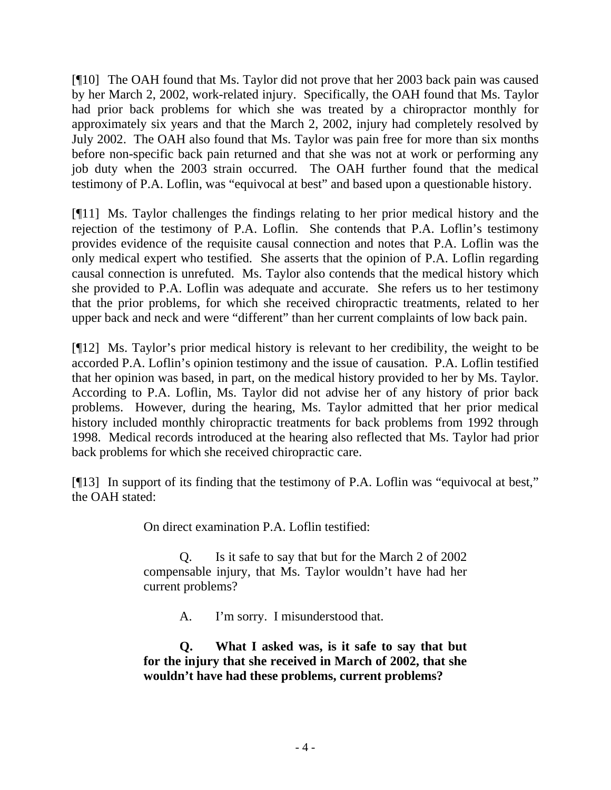[¶10] The OAH found that Ms. Taylor did not prove that her 2003 back pain was caused by her March 2, 2002, work-related injury. Specifically, the OAH found that Ms. Taylor had prior back problems for which she was treated by a chiropractor monthly for approximately six years and that the March 2, 2002, injury had completely resolved by July 2002. The OAH also found that Ms. Taylor was pain free for more than six months before non-specific back pain returned and that she was not at work or performing any job duty when the 2003 strain occurred. The OAH further found that the medical testimony of P.A. Loflin, was "equivocal at best" and based upon a questionable history.

[¶11] Ms. Taylor challenges the findings relating to her prior medical history and the rejection of the testimony of P.A. Loflin. She contends that P.A. Loflin's testimony provides evidence of the requisite causal connection and notes that P.A. Loflin was the only medical expert who testified. She asserts that the opinion of P.A. Loflin regarding causal connection is unrefuted. Ms. Taylor also contends that the medical history which she provided to P.A. Loflin was adequate and accurate. She refers us to her testimony that the prior problems, for which she received chiropractic treatments, related to her upper back and neck and were "different" than her current complaints of low back pain.

[¶12] Ms. Taylor's prior medical history is relevant to her credibility, the weight to be accorded P.A. Loflin's opinion testimony and the issue of causation. P.A. Loflin testified that her opinion was based, in part, on the medical history provided to her by Ms. Taylor. According to P.A. Loflin, Ms. Taylor did not advise her of any history of prior back problems. However, during the hearing, Ms. Taylor admitted that her prior medical history included monthly chiropractic treatments for back problems from 1992 through 1998. Medical records introduced at the hearing also reflected that Ms. Taylor had prior back problems for which she received chiropractic care.

[¶13] In support of its finding that the testimony of P.A. Loflin was "equivocal at best," the OAH stated:

On direct examination P.A. Loflin testified:

Q. Is it safe to say that but for the March 2 of 2002 compensable injury, that Ms. Taylor wouldn't have had her current problems?

A. I'm sorry. I misunderstood that.

**Q. What I asked was, is it safe to say that but for the injury that she received in March of 2002, that she wouldn't have had these problems, current problems?**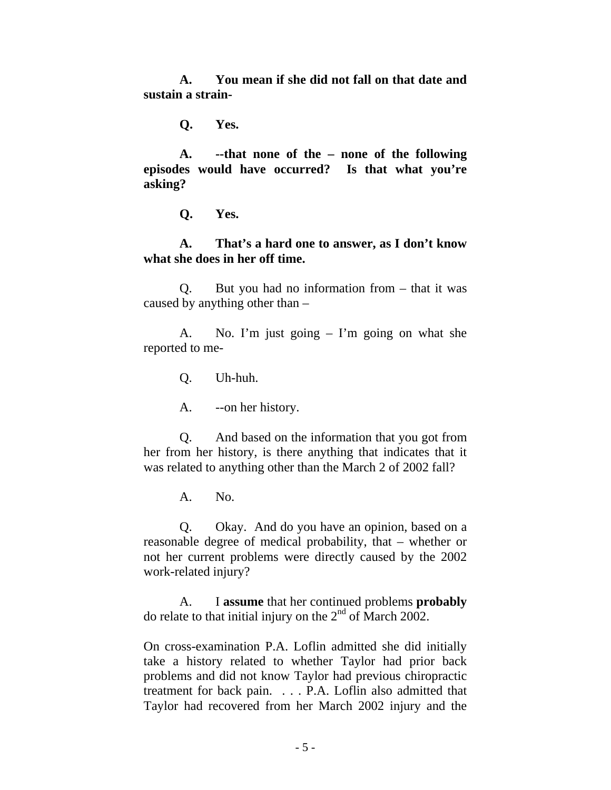**A. You mean if she did not fall on that date and sustain a strain-**

**Q. Yes.** 

**A. --that none of the – none of the following episodes would have occurred? Is that what you're asking?** 

**Q. Yes.** 

**A. That's a hard one to answer, as I don't know what she does in her off time.** 

Q. But you had no information from – that it was caused by anything other than –

A. No. I'm just going – I'm going on what she reported to me-

Q. Uh-huh.

A. --on her history.

Q. And based on the information that you got from her from her history, is there anything that indicates that it was related to anything other than the March 2 of 2002 fall?

A. No.

Q. Okay. And do you have an opinion, based on a reasonable degree of medical probability, that – whether or not her current problems were directly caused by the 2002 work-related injury?

A. I **assume** that her continued problems **probably** do relate to that initial injury on the  $2<sup>nd</sup>$  of March 2002.

On cross-examination P.A. Loflin admitted she did initially take a history related to whether Taylor had prior back problems and did not know Taylor had previous chiropractic treatment for back pain. . . . P.A. Loflin also admitted that Taylor had recovered from her March 2002 injury and the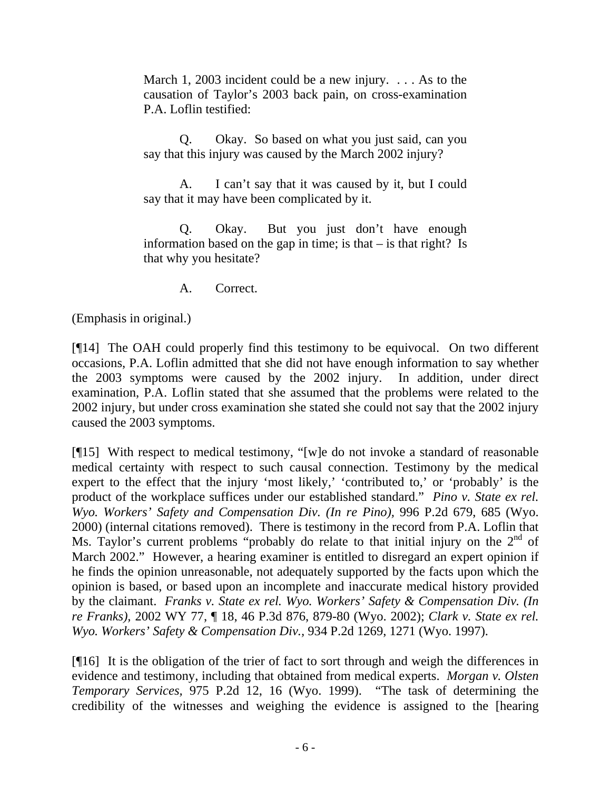March 1, 2003 incident could be a new injury. . . . As to the causation of Taylor's 2003 back pain, on cross-examination P.A. Loflin testified:

Q. Okay. So based on what you just said, can you say that this injury was caused by the March 2002 injury?

A. I can't say that it was caused by it, but I could say that it may have been complicated by it.

Q. Okay. But you just don't have enough information based on the gap in time; is that  $-$  is that right? Is that why you hesitate?

A. Correct.

(Emphasis in original.)

[¶14] The OAH could properly find this testimony to be equivocal. On two different occasions, P.A. Loflin admitted that she did not have enough information to say whether the 2003 symptoms were caused by the 2002 injury. In addition, under direct examination, P.A. Loflin stated that she assumed that the problems were related to the 2002 injury, but under cross examination she stated she could not say that the 2002 injury caused the 2003 symptoms.

[¶15] With respect to medical testimony, "[w]e do not invoke a standard of reasonable medical certainty with respect to such causal connection. Testimony by the medical expert to the effect that the injury 'most likely,' 'contributed to,' or 'probably' is the product of the workplace suffices under our established standard." *Pino v. State ex rel. Wyo. Workers' Safety and Compensation Div. (In re Pino),* 996 P.2d 679, 685 (Wyo. 2000) (internal citations removed). There is testimony in the record from P.A. Loflin that Ms. Taylor's current problems "probably do relate to that initial injury on the  $2<sup>nd</sup>$  of March 2002." However, a hearing examiner is entitled to disregard an expert opinion if he finds the opinion unreasonable, not adequately supported by the facts upon which the opinion is based, or based upon an incomplete and inaccurate medical history provided by the claimant. *Franks v. State ex rel. Wyo. Workers' Safety & Compensation Div. (In re Franks),* 2002 WY 77, ¶ 18, 46 P.3d 876, 879-80 (Wyo. 2002); *Clark v. State ex rel. Wyo. Workers' Safety & Compensation Div.,* 934 P.2d 1269, 1271 (Wyo. 1997).

[¶16] It is the obligation of the trier of fact to sort through and weigh the differences in evidence and testimony, including that obtained from medical experts. *Morgan v. Olsten Temporary Services,* 975 P.2d 12, 16 (Wyo. 1999). "The task of determining the credibility of the witnesses and weighing the evidence is assigned to the [hearing